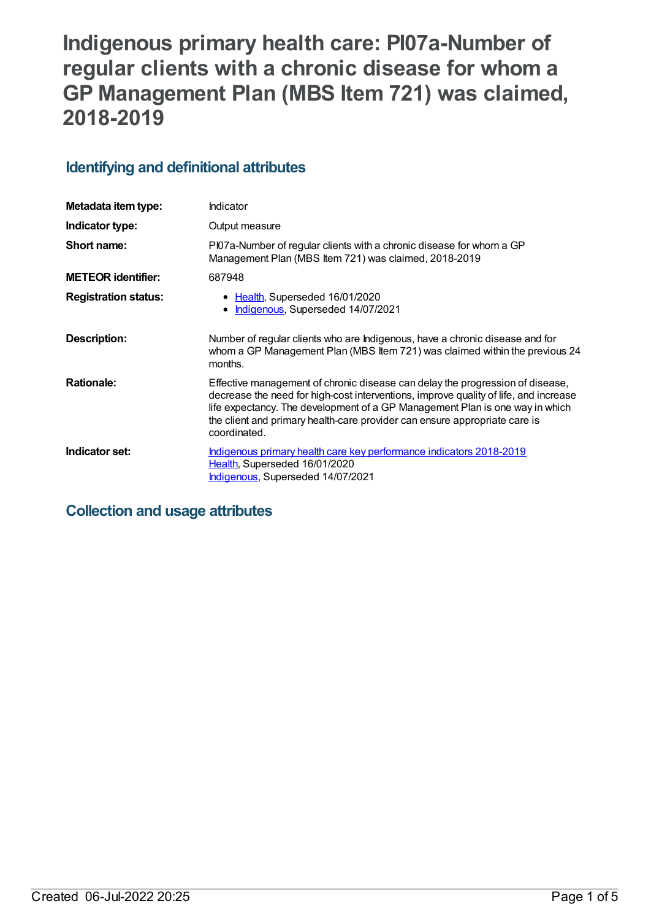# **Indigenous primary health care: PI07a-Number of regular clients with a chronic disease for whom a GP Management Plan (MBS Item 721) was claimed, 2018-2019**

## **Identifying and definitional attributes**

| Metadata item type:         | Indicator                                                                                                                                                                                                                                                                                                                                           |
|-----------------------------|-----------------------------------------------------------------------------------------------------------------------------------------------------------------------------------------------------------------------------------------------------------------------------------------------------------------------------------------------------|
| Indicator type:             | Output measure                                                                                                                                                                                                                                                                                                                                      |
| Short name:                 | PI07a-Number of regular clients with a chronic disease for whom a GP<br>Management Plan (MBS Item 721) was claimed, 2018-2019                                                                                                                                                                                                                       |
| <b>METEOR identifier:</b>   | 687948                                                                                                                                                                                                                                                                                                                                              |
| <b>Registration status:</b> | • Health, Superseded 16/01/2020<br>Indigenous, Superseded 14/07/2021                                                                                                                                                                                                                                                                                |
| Description:                | Number of regular clients who are Indigenous, have a chronic disease and for<br>whom a GP Management Plan (MBS Item 721) was claimed within the previous 24<br>months.                                                                                                                                                                              |
| <b>Rationale:</b>           | Effective management of chronic disease can delay the progression of disease,<br>decrease the need for high-cost interventions, improve quality of life, and increase<br>life expectancy. The development of a GP Management Plan is one way in which<br>the client and primary health-care provider can ensure appropriate care is<br>coordinated. |
| Indicator set:              | Indigenous primary health care key performance indicators 2018-2019<br>Health, Superseded 16/01/2020<br>Indigenous, Superseded 14/07/2021                                                                                                                                                                                                           |

## **Collection and usage attributes**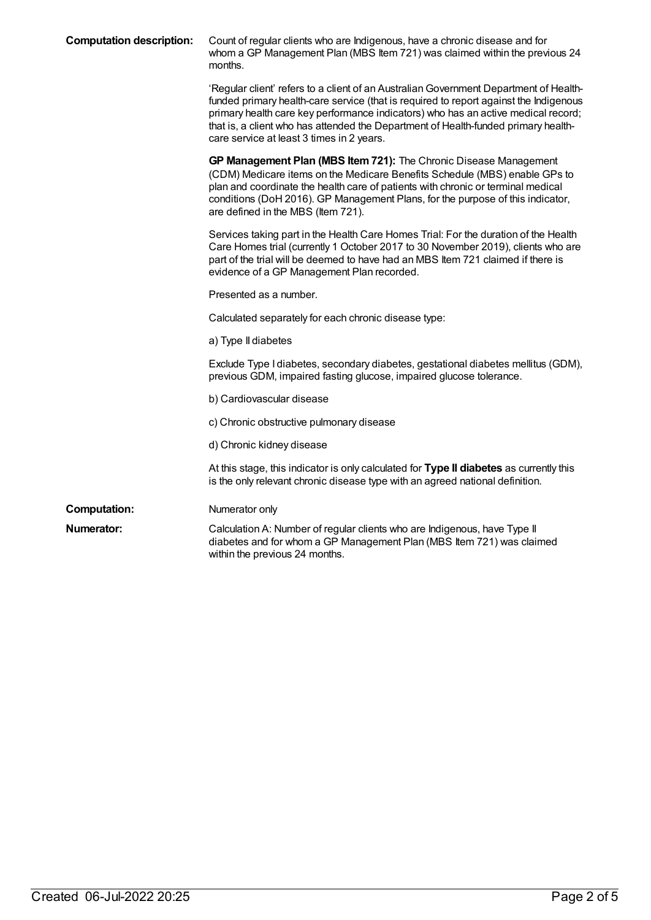| <b>Computation description:</b> | Count of regular clients who are Indigenous, have a chronic disease and for<br>whom a GP Management Plan (MBS Item 721) was claimed within the previous 24<br>months.                                                                                                                                                                                                                                  |
|---------------------------------|--------------------------------------------------------------------------------------------------------------------------------------------------------------------------------------------------------------------------------------------------------------------------------------------------------------------------------------------------------------------------------------------------------|
|                                 | 'Regular client' refers to a client of an Australian Government Department of Health-<br>funded primary health-care service (that is required to report against the Indigenous<br>primary health care key performance indicators) who has an active medical record;<br>that is, a client who has attended the Department of Health-funded primary health-<br>care service at least 3 times in 2 years. |
|                                 | GP Management Plan (MBS Item 721): The Chronic Disease Management<br>(CDM) Medicare items on the Medicare Benefits Schedule (MBS) enable GPs to<br>plan and coordinate the health care of patients with chronic or terminal medical<br>conditions (DoH 2016). GP Management Plans, for the purpose of this indicator,<br>are defined in the MBS (Item 721).                                            |
|                                 | Services taking part in the Health Care Homes Trial: For the duration of the Health<br>Care Homes trial (currently 1 October 2017 to 30 November 2019), clients who are<br>part of the trial will be deemed to have had an MBS Item 721 claimed if there is<br>evidence of a GP Management Plan recorded.                                                                                              |
|                                 | Presented as a number.                                                                                                                                                                                                                                                                                                                                                                                 |
|                                 | Calculated separately for each chronic disease type:                                                                                                                                                                                                                                                                                                                                                   |
|                                 | a) Type II diabetes                                                                                                                                                                                                                                                                                                                                                                                    |
|                                 | Exclude Type I diabetes, secondary diabetes, gestational diabetes mellitus (GDM),<br>previous GDM, impaired fasting glucose, impaired glucose tolerance.                                                                                                                                                                                                                                               |
|                                 | b) Cardiovascular disease                                                                                                                                                                                                                                                                                                                                                                              |
|                                 | c) Chronic obstructive pulmonary disease                                                                                                                                                                                                                                                                                                                                                               |
|                                 | d) Chronic kidney disease                                                                                                                                                                                                                                                                                                                                                                              |
|                                 | At this stage, this indicator is only calculated for Type II diabetes as currently this<br>is the only relevant chronic disease type with an agreed national definition.                                                                                                                                                                                                                               |
| <b>Computation:</b>             | Numerator only                                                                                                                                                                                                                                                                                                                                                                                         |
| Numerator:                      | Calculation A: Number of regular clients who are Indigenous, have Type II<br>diabetes and for whom a GP Management Plan (MBS Item 721) was claimed<br>within the previous 24 months.                                                                                                                                                                                                                   |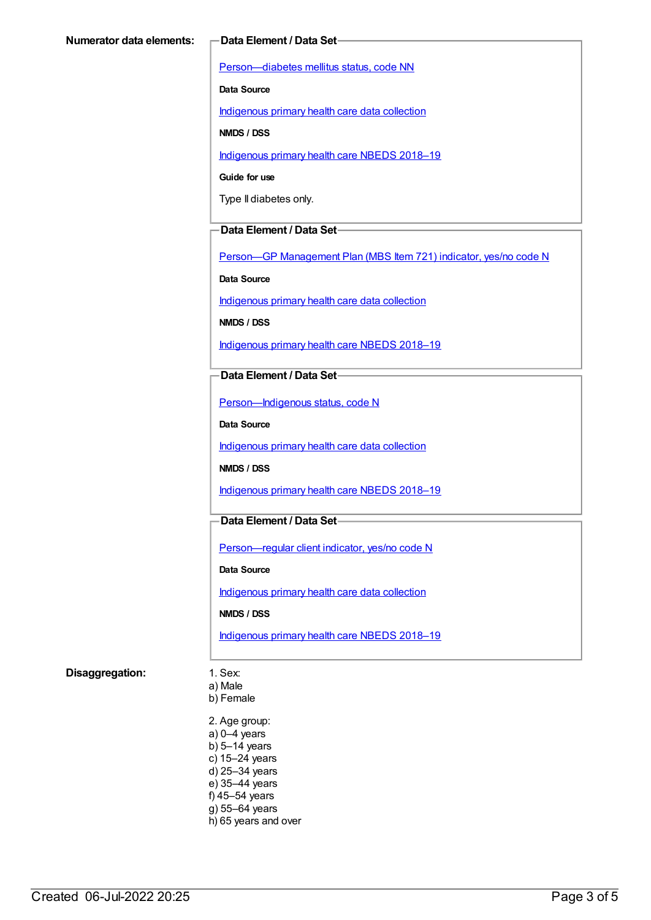[Person—diabetes](https://meteor.aihw.gov.au/content/270194) mellitus status, code NN

**Data Source**

[Indigenous](https://meteor.aihw.gov.au/content/430643) primary health care data collection

**NMDS / DSS**

[Indigenous](https://meteor.aihw.gov.au/content/694101) primary health care NBEDS 2018–19

**Guide for use**

Type II diabetes only.

#### **Data Element / Data Set**

Person-GP [Management](https://meteor.aihw.gov.au/content/504966) Plan (MBS Item 721) indicator, yes/no code N

**Data Source**

[Indigenous](https://meteor.aihw.gov.au/content/430643) primary health care data collection

**NMDS / DSS**

[Indigenous](https://meteor.aihw.gov.au/content/694101) primary health care NBEDS 2018–19

#### **Data Element / Data Set**

[Person—Indigenous](https://meteor.aihw.gov.au/content/602543) status, code N

**Data Source**

[Indigenous](https://meteor.aihw.gov.au/content/430643) primary health care data collection

**NMDS / DSS**

[Indigenous](https://meteor.aihw.gov.au/content/694101) primary health care NBEDS 2018–19

#### **Data Element / Data Set**

[Person—regular](https://meteor.aihw.gov.au/content/686291) client indicator, yes/no code N

**Data Source**

[Indigenous](https://meteor.aihw.gov.au/content/430643) primary health care data collection

**NMDS / DSS**

[Indigenous](https://meteor.aihw.gov.au/content/694101) primary health care NBEDS 2018–19

#### **Disaggregation:** 1. Sex:

a) Male

b) Female

2. Age group: a) 0–4 years b) 5–14 years c) 15–24 years d) 25–34 years e) 35–44 years f) 45–54 years g) 55–64 years h) 65 years and over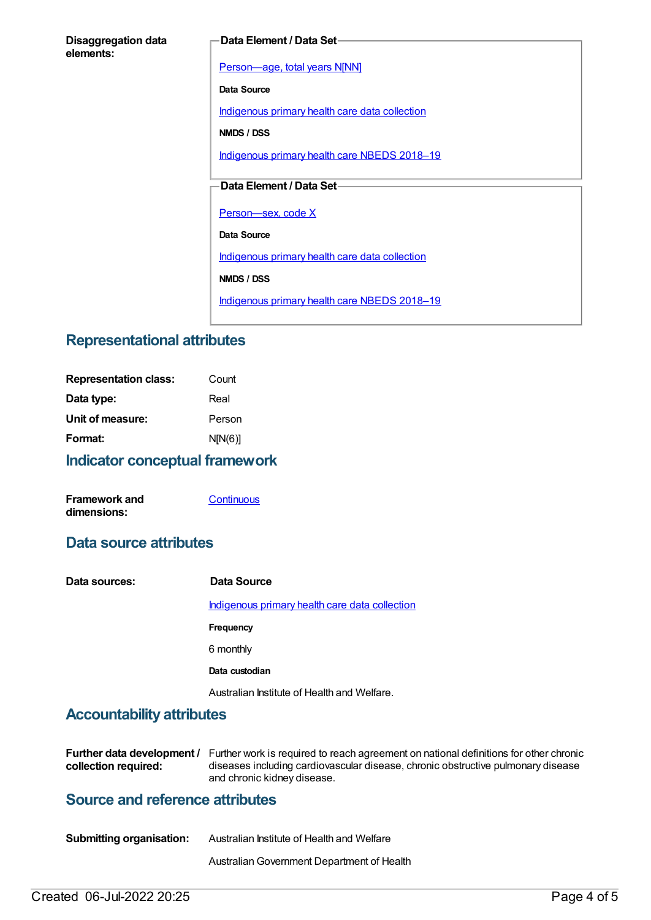#### **Disaggregation data elements:**

#### **Data Element / Data Set**

[Person—age,](https://meteor.aihw.gov.au/content/303794) total years N[NN]

**Data Source**

[Indigenous](https://meteor.aihw.gov.au/content/430643) primary health care data collection

**NMDS / DSS**

[Indigenous](https://meteor.aihw.gov.au/content/694101) primary health care NBEDS 2018-19

### **Data Element / Data Set**

Person-sex, code X

**Data Source**

[Indigenous](https://meteor.aihw.gov.au/content/430643) primary health care data collection

**NMDS / DSS**

[Indigenous](https://meteor.aihw.gov.au/content/694101) primary health care NBEDS 2018-19

## **Representational attributes**

| <b>Representation class:</b> | Count   |
|------------------------------|---------|
| Data type:                   | Real    |
| Unit of measure:             | Person  |
| Format:                      | N[N(6)] |
|                              |         |

#### **Indicator conceptual framework**

| Framework and | Continuous |
|---------------|------------|
| dimensions:   |            |

## **Data source attributes**

| Data sources: | Data Source                                    |
|---------------|------------------------------------------------|
|               | Indigenous primary health care data collection |
|               | <b>Frequency</b>                               |
|               | 6 monthly                                      |
|               | Data custodian                                 |
|               | Australian Institute of Health and Welfare.    |

## **Accountability attributes**

|                      | Further data development / Further work is required to reach agreement on national definitions for other chronic |
|----------------------|------------------------------------------------------------------------------------------------------------------|
| collection required: | diseases including cardiovascular disease, chronic obstructive pulmonary disease                                 |
|                      | and chronic kidney disease.                                                                                      |

## **Source and reference attributes**

| <b>Submitting organisation:</b> | Australian Institute of Health and Welfare |
|---------------------------------|--------------------------------------------|
|                                 | Australian Government Department of Health |